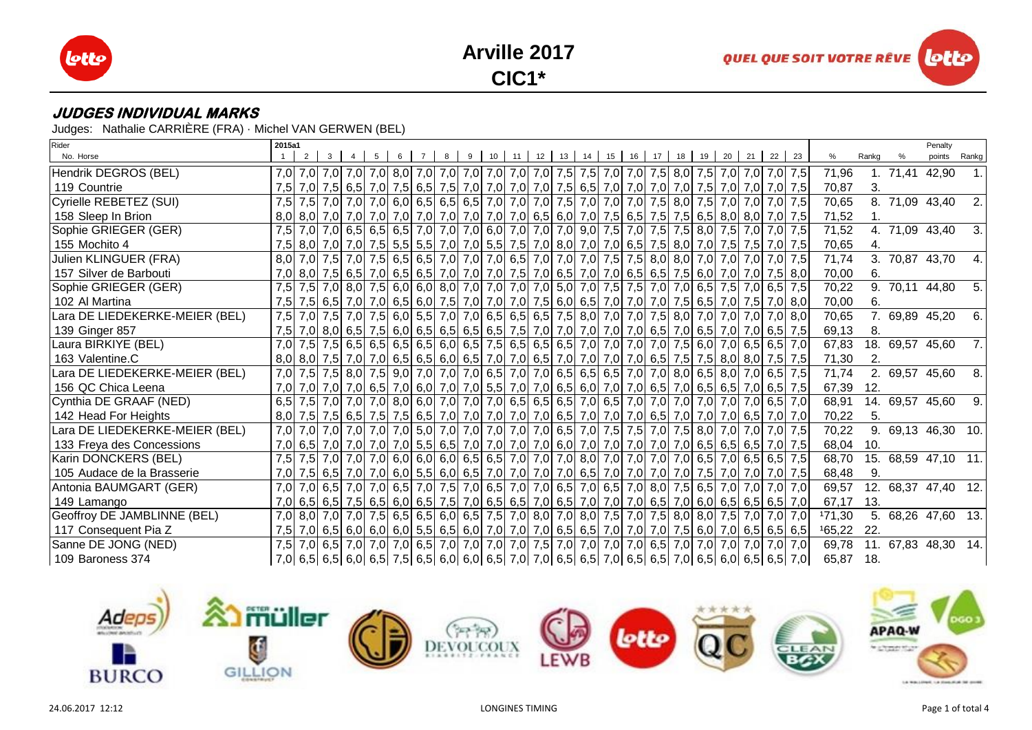





Judges: Nathalie CARRIÈRE (FRA) · Michel VAN GERWEN (BEL)

| Rider                          | 2015a1 |  |  |  |   |    |    |                   |    |        |    |    |                                                                                                    |    |       |                                                                                                                                                                                                                                 |        |       | Penalty             |       |
|--------------------------------|--------|--|--|--|---|----|----|-------------------|----|--------|----|----|----------------------------------------------------------------------------------------------------|----|-------|---------------------------------------------------------------------------------------------------------------------------------------------------------------------------------------------------------------------------------|--------|-------|---------------------|-------|
| No. Horse                      |        |  |  |  | 9 | 10 | 11 | $12 \mid 13 \mid$ | 14 | 15  16 | 17 | 18 | 19                                                                                                 | 20 | 21 22 | 23                                                                                                                                                                                                                              | %      | Rankg | points              | Rankg |
| Hendrik DEGROS (BEL)           | 7,0    |  |  |  |   |    |    |                   |    |        |    |    |                                                                                                    |    |       | 7,0   7,0   7,0   7,0   7,0   7,0   7,0   7,0   7,0   7,0   7,0   7,5   7,5   7,0   7,5   8,0   7,5   7,0   7,0   7,0   7,5                                                                                                     | 71,96  |       | 1. 71,41 42,90      |       |
| 119 Countrie                   | 7,5    |  |  |  |   |    |    |                   |    |        |    |    | 7,0 7,5 6,5 7,0 7,5 6,5 7,6 7,6 7,0 7,0 7,0 7,0 7,5 6,5 7,0 7,0 7,0 7,0 7,7 7,0 7,0 7,5            |    |       | 7,0 7,0 7,0 7,5                                                                                                                                                                                                                 | 70,87  | 3.    |                     |       |
| Cyrielle REBETEZ (SUI)         | 7,5    |  |  |  |   |    |    |                   |    |        |    |    | 7,5 7,0 7,0 7,0 7,0 6,0 6,5 6,5 6,5 7,0 7,0 7,0 7,5 7,0 7,0 7,0 7,5 8,0 7,5                        |    |       | 7,0 7,0 7,0 7,5                                                                                                                                                                                                                 | 70,65  |       | 8. 71,09 43,40      | 2.    |
| 158 Sleep In Brion             |        |  |  |  |   |    |    |                   |    |        |    |    |                                                                                                    |    |       |                                                                                                                                                                                                                                 | 71,52  |       |                     |       |
| Sophie GRIEGER (GER)           | 7,5    |  |  |  |   |    |    |                   |    |        |    |    |                                                                                                    |    |       | 7,0 7,5 6,5 6,5 6,5 7,0 7,0 7,0 7,0 6,0 7,0 7,0 7,0 7,0 7,5 7,0 7,5 7,5 8,0 7,5 7,0 7,0 7,0 7,0 7,5                                                                                                                             | 71,52  |       | 4. 71,09 43,40      | 3.    |
| 155 Mochito 4                  | 7,5    |  |  |  |   |    |    |                   |    |        |    |    | 8,0 7,0 7,0 7,0 7,5 7,0 7,5 7,0 7,5 8,0 7,0 8,0 7,0 6,5 7,5 8,0 7,0 7,0 7,5 7,5 7,6 7,76 7,76 7,76 |    |       |                                                                                                                                                                                                                                 | 70,65  | 4.    |                     |       |
| Julien KLINGUER (FRA)          | 8,0    |  |  |  |   |    |    |                   |    |        |    |    | 7,0 7,5 7,6 8,0 7,0 7,6 6,5 6,5 7,0 7,0 7,0 6,5 7,0 7,0 7,0 7,0 7,5 7,5 8,0 8,0 7,0                |    |       | 7,0 7,0 7,0 7,5                                                                                                                                                                                                                 | 71,74  |       | 3. 70,87 43,70      |       |
| 157 Silver de Barbouti         |        |  |  |  |   |    |    |                   |    |        |    |    |                                                                                                    |    |       | 7,0 8,0 7,5 6,5 7,0 6,5 7,0 6,5 6,6 7,0 7,0 7,0 7,5 7,0 6,5 7,0 6,5 6,5 6,5 7,5 6,0 7,0 7,0 7,5 8,0                                                                                                                             | 70,00  | 6.    |                     |       |
| Sophie GRIEGER (GER)           | 7,5    |  |  |  |   |    |    |                   |    |        |    |    |                                                                                                    |    |       | 7,5 7,0 8,0 7,5 6,0 6,0 8,0 7,0 7,0 7,0 7,0 7,0 7,0 7,0 7,0 7,5 7,5 7,0 7,0 6,5 7,5 7,0 6,5 7,5 7,5                                                                                                                             | 70,22  |       | 9. 70,11 44,80      | 5.    |
| 102 Al Martina                 | 7,5    |  |  |  |   |    |    |                   |    |        |    |    | 7,5 6,5 7,0 7,0 6,5 6,0 7,5 7,0 7,0 7,0 7,5 6,0 6,5 7,0 7,0 7,0 7,5 6,5                            |    |       | 7,0 7,5 7,0 8,0                                                                                                                                                                                                                 | 70,00  | 6.    |                     |       |
| Lara DE LIEDEKERKE-MEIER (BEL) | 7,5    |  |  |  |   |    |    |                   |    |        |    |    | 7,0 7,5 7,0 7,5 6,0 5,5 7,0 7,0 6,5 6,5 6,5 7,5 8,0 7,0 7,0 7,5 8,0 7,0                            |    |       | 7,0 7,0 7,0 8,0                                                                                                                                                                                                                 | 70,65  |       | 7. 69,89 45,20      | 6.    |
| 139 Ginger 857                 | 7,5    |  |  |  |   |    |    |                   |    |        |    |    |                                                                                                    |    |       | 7,0 8,0 6,5 7,5 6,0 6,5 6,5 6,5 6,5 6,5 7,5 7,0 7,0 7,0 7,0 7,0 6,5 7,0 6,5 7,0 7,0 6,5 7,0 6,5 7,5                                                                                                                             | 69,13  | 8.    |                     |       |
| Laura BIRKIYE (BEL)            | 7.0    |  |  |  |   |    |    |                   |    |        |    |    |                                                                                                    |    |       | 7,5 7,5 6,5 6,5 6,5 6,5 6,5 6,6 6,0 6,5 7,5 6,5 6,5 6,5 7,0 7,0 7,0 7,0 7,0 7,5 6,0 7,0 6,5 6,5 7,0                                                                                                                             | 67,83  |       | 18. 69,57 45,60     | 7.1   |
| 163 Valentine.C                | 8.0    |  |  |  |   |    |    |                   |    |        |    |    |                                                                                                    |    |       | 8,0 7,5 7,0 7,0 6,5 6,5 6,0 6,5 7,0 7,0 6,5 7,0 7,0 7,0 7,0 7,0 6,5 7,5 7,5 8,0 8,0 7,5 7,5                                                                                                                                     | 71,30  | 2.    |                     |       |
| Lara DE LIEDEKERKE-MEIER (BEL) | 7,0    |  |  |  |   |    |    |                   |    |        |    |    |                                                                                                    |    |       | 7,5 7,5 8,0 7,0 6,5 7,0 7,0 6,5 7,0 7,0 6,5 7,0 7,0 6,5 6,5 6,5 7,0 7,0 8,0 6,5 8,0 7,0 6,5 7,5                                                                                                                                 | 71,74  |       | 2. 69,57 45,60      | 8.    |
| 156 QC Chica Leena             | 7.01   |  |  |  |   |    |    |                   |    |        |    |    |                                                                                                    |    |       | 7,0 7,0 7,0 6,5 7,0 6,5 7,0 6,5 7,0 7,0 7,0 6,5 7,0 7,0 6,5 6,0 7,0 6,5 7,0 6,5 6,5 7,0 6,5 7,0 6,5 7,5                                                                                                                         | 67,39  | 12.   |                     |       |
| Cynthia DE GRAAF (NED)         | 6,5    |  |  |  |   |    |    |                   |    |        |    |    |                                                                                                    |    |       | 7,5 7,0 7,0 7,0 8,0 6,5 7,0 7,0 7,0 7,0 6,5 6,5 6,5 6,5 7,0 6,5 7,0 7,0 7,0 7,0 7,0 7,0 7,0 6,5 7,0                                                                                                                             | 68,91  |       | 14. 69,57 45,60     | 9.    |
| 142 Head For Heights           | 8,0    |  |  |  |   |    |    |                   |    |        |    |    |                                                                                                    |    |       | 7,5 7,5 6,5 7,6 7,5 6,5 7,6 6,5 7,0 7,0 7,0 7,0 7,0 7,0 6,5 7,0 7,0 7,0 6,5 7,0 7,0 7,0 6,5 7,0 6,5 7,0 7,0                                                                                                                     | 70,22  | 5.    |                     |       |
| Lara DE LIEDEKERKE-MEIER (BEL) | 7.0    |  |  |  |   |    |    |                   |    |        |    |    |                                                                                                    |    |       | 7,0 7,0 7,0 7,0 7,0 7,0 5,0 7,0 7,0 7,0 7,0 7,0 7,0 6,5 7,0 7,5 7,5 7,0 7,5 8,0 7,0 7,0 7,0 7,0 7,5                                                                                                                             | 70,22  | 9.    | 69,13 46,30 10.     |       |
| 133 Freya des Concessions      |        |  |  |  |   |    |    |                   |    |        |    |    |                                                                                                    |    |       | 7,0 6,5 7,0 7,0 7,0 7,0 7,0 7,0 7,0 5,5 6,5 7,0 7,0 7,0 7,0 7,0 6,0 7,0 7,0 7,0 7,0 7,0 6,5 6,5 6,5 6,5 7,0 7,5                                                                                                                 | 68,04  | 10.   |                     |       |
| Karin DONCKERS (BEL)           | 7,5    |  |  |  |   |    |    |                   |    |        |    |    |                                                                                                    |    |       |                                                                                                                                                                                                                                 | 68,70  |       | 15. 68,59 47,10 11. |       |
| 105 Audace de la Brasserie     | 7,0    |  |  |  |   |    |    |                   |    |        |    |    |                                                                                                    |    |       | 7,5 6,5 7,0 7,0 6,0 6,0 6,5 6,0 6,5 7,0 7,0 7,0 7,0 6,5 7,0 7,0 7,0 7,0 7,0 7,0 7,0 7,0 7,5 7,0 7,0 7,0 7,5                                                                                                                     | 68,48  | 9.    |                     |       |
| Antonia BAUMGART (GER)         | 7,0    |  |  |  |   |    |    |                   |    |        |    |    |                                                                                                    |    |       | 7,0 6,5 7,0 7,0 7,0 6,5 7,0 7,0 7,5 7,0 6,5 7,0 7,0 6,5 7,0 6,5 7,0 6,5 7,0 8,0 7,5 6,5 7,0 7,0 7,0 7,0                                                                                                                         | 69,57  |       | 12. 68,37 47,40 12. |       |
| 149 Lamango                    |        |  |  |  |   |    |    |                   |    |        |    |    |                                                                                                    |    |       | 7,0 6,5 6,5 6,5 6,5 6,5 6,5 6,0 6,5 7,6 7,0 6,5 6,5 7,0 6,5 7,0 7,0 7,0 7,0 6,5 7,0 6,6 6,6 6,6 6,5 6,5 7,0                                                                                                                     | 67,17  | 13.   |                     |       |
| Geoffroy DE JAMBLINNE (BEL)    |        |  |  |  |   |    |    |                   |    |        |    |    |                                                                                                    |    |       | 7,0 8,0 7,0 7,0 7,0 7,0 7,0 7,0 8,0 6,5 6,0 6,6 7,5 7,0 8,0 7,0 8,0 7,5 7,0 7,5 8,0 8,0 7,5 7,0 7,0 7,0                                                                                                                         | 171,30 |       | 5. 68,26 47,60 13.  |       |
| 117 Consequent Pia Z           | 7,5    |  |  |  |   |    |    |                   |    |        |    |    |                                                                                                    |    |       | 7,0 6,5 6,6 6,6 6,6 6,5 6,5 6,5 6,5 6,6 7,0 7,0 7,0 6,5 6,5 7,0 7,0 7,0 7,0 7,5 6,0 7,0 6,5 6,5 6,5 6,5                                                                                                                         | 165,22 | 22.   |                     |       |
| Sanne DE JONG (NED)            | 7,5    |  |  |  |   |    |    |                   |    |        |    |    |                                                                                                    |    |       | 7,0   7,0   7,0   7,0   7,0   7,0   6,5   7,0   7,0   7,0   7,0   7,0   7,0   7,0   7,0   7,0   7,0   7,0   7,0   7,0   7,0   7,0   7,0   7,0   7,0   7,0   7,0   7,0   7,0   7,0   7,0   7,0   7,0   7,0   7,0   7,0   7,0   7 | 69,78  | 11.   | 67,83 48,30         | 14.   |
| 109 Baroness 374               |        |  |  |  |   |    |    |                   |    |        |    |    |                                                                                                    |    |       | 7,0 6,5 6,6 6,6 6,6 6,6 6,5 6,5 7,0 6,6 6,6 7,0 7,0 6,5 6,6 7,0 6,5 6,5 7,0 6,5 6,6 7,0 6,5 6,6 6,6 6,5 6,5 7,0                                                                                                                 | 65,87  | 18.   |                     |       |

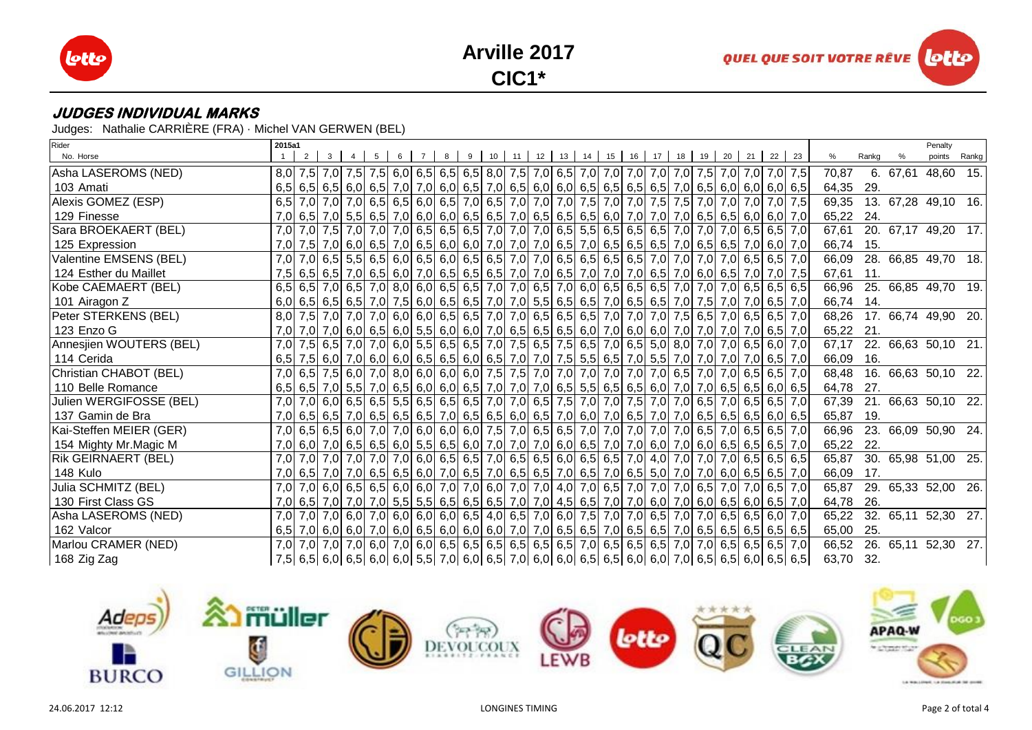





Judges: Nathalie CARRIÈRE (FRA) · Michel VAN GERWEN (BEL)

| Rider                   | 2015a1 |   |  |                |                 |  |  |                                               |  |  |  |  |                                                                                                                   |       |       | Penalty             |  |
|-------------------------|--------|---|--|----------------|-----------------|--|--|-----------------------------------------------|--|--|--|--|-------------------------------------------------------------------------------------------------------------------|-------|-------|---------------------|--|
| No. Horse               |        | 2 |  | 5 <sup>5</sup> | $6 \mid 7 \mid$ |  |  | 8 9 10 11 12 13 14 15 16 17 18 19 20 21 22 23 |  |  |  |  |                                                                                                                   | %     | Rankg | points Rankg        |  |
| Asha LASEROMS (NED)     |        |   |  |                |                 |  |  |                                               |  |  |  |  | 8,0 7,5 7,0 7,5 7,0 7,5 7,0 7,5 8,0 6,5 6,5 8,0 7,5 7,0 6,5 7,0 6,5 7,0 7,0 7,0 7,0 7,0 7,5 7,0 7,0 7,0 7,0 7,    | 70,87 |       | 6. 67,61 48,60 15.  |  |
| 103 Amati               |        |   |  |                |                 |  |  |                                               |  |  |  |  | $6,5$ 6,5 6,5 6,0 6,5 7,0 7,0 6,0 6,5 7,0 6,5 6,0 6,0 6,0 6,5 6,5 6,5 6,5 6,5 7,0 6,5 6,0 6,0 6,0 6,0 6,0         | 64,35 | 29.   |                     |  |
| Alexis GOMEZ (ESP)      |        |   |  |                |                 |  |  |                                               |  |  |  |  | 6,5 7,0 7,0 7,0 7,0 6,5 6,5 6,0 6,5 7,0 6,5 7,0 7,0 7,0 7,0 7,5 7,0 7,0 7,5 7,5 7,0 7,0 7,0 7,0 7,0 7,0           | 69,35 |       | 13. 67,28 49,10 16. |  |
| 129 Finesse             |        |   |  |                |                 |  |  |                                               |  |  |  |  | 7,0 6,5 7,0 5,5 6,5 6,6 7,0 6,0 6,0 6,0 6,5 6,5 7,0 6,5 6,5 6,5 6,6 7,0 7,0 7,0 7,0 6,5 6,5 6,0 6,0 7,0           | 65,22 | 24.   |                     |  |
| Sara BROEKAERT (BEL)    |        |   |  |                |                 |  |  |                                               |  |  |  |  | 7,0 7,0 7,0 7,0 7,0 7,0 7,0 6,5 6,6 6,6 6,6 7,0 7,0 7,0 6,5 5,5 6,5 6,5 6,5 7,0 7,0 7,0 6,5 6,5 7,0               | 67,61 |       | 20. 67,17 49,20 17. |  |
| 125 Expression          |        |   |  |                |                 |  |  |                                               |  |  |  |  | 7,0 7,5 7,0 6,0 6,5 7,0 6,5 7,0 6,5 6,0 6,0 7,0 7,0 7,0 7,0 6,5 7,0 6,5 6,5 6,5 7,0 6,5 6,5 7,0 6,0 7,0           | 66,74 | 15.   |                     |  |
| Valentine EMSENS (BEL)  |        |   |  |                |                 |  |  |                                               |  |  |  |  | 7,0 7,0 6,5 5,5 6,5 6,6 6,0 6,5 6,0 6,5 6,5 7,0 7,0 6,5 6,5 6,5 6,5 7,0 7,0 7,0 7,0 6,5 6,5 6,5 7,0               | 66,09 |       | 28. 66,85 49,70 18. |  |
| 124 Esther du Maillet   |        |   |  |                |                 |  |  |                                               |  |  |  |  | 7,5 6,5 7,0 6,5 7,0 6,5 6,6 7,0 6,5 6,6 6,5 6,5 7,0 7,0 6,5 7,0 7,0 7,0 7,0 6,5 7,0 6,0 6,5 7,0 7,0 7,5           | 67,61 | 11.   |                     |  |
| Kobe CAEMAERT (BEL)     |        |   |  |                |                 |  |  |                                               |  |  |  |  | 6,5 6,5 7,0 6,5 7,0 6,5 7,0 8,0 6,0 6,5 6,5 7,0 7,0 6,5 7,0 6,0 6,5 6,5 6,5 6,5 7,0 7,0 7,0 6,5 6,5 6,5 6,5       | 66,96 |       | 25. 66,85 49,70 19. |  |
| 101 Airagon Z           |        |   |  |                |                 |  |  |                                               |  |  |  |  | $6,0$ 6,5 6,5 6,5 7,0 7,5 6,0 6,5 6,5 7,0 7,0 5,5 6,5 6,5 7,0 6,5 7,0 6,5 7,0 7,5 7,0 7,5 7,0 7,0 6,5 7,0         | 66,74 | 14.   |                     |  |
| Peter STERKENS (BEL)    |        |   |  |                |                 |  |  |                                               |  |  |  |  | 8,0 7,5 7,0 7,0 7,0 7,0 6,5 6,6 7,0 6,6 6,5 7,0 7,0 6,5 6,5 6,5 7,0 7,0 7,0 7,0 7,5 6,5 7,0 6,5 6,5 7,0           | 68,26 |       | 17. 66,74 49,90 20. |  |
| 123 Enzo G              |        |   |  |                |                 |  |  |                                               |  |  |  |  | 7,0 7,0 7,0 6,0 6,5 6,0 5,5 6,0 6,0 7,0 6,5 6,5 6,5 6,6 7,0 6,0 7,0 6,0 7,0 7,0 7,0 7,0 7,0 6,5 7,0               | 65,22 | -21.  |                     |  |
| Annesjien WOUTERS (BEL) |        |   |  |                |                 |  |  |                                               |  |  |  |  | 7,0 7,5 6,5 7,0 7,0 6,5 6,0 7,0 6,0 6,5 6,5 6,5 7,0 7,5 6,5 7,5 6,5 7,0 6,5 5,0 8,0 7,0 7,0 6,5 6,0 7,0           | 67,17 |       | 22. 66,63 50,10 21. |  |
| 114 Cerida              |        |   |  |                |                 |  |  |                                               |  |  |  |  | 6,5 7,6 6,0 7,0 6,5 7,0 6,5 6,0 6,5 6,6 6,6 6,6 7,0 7,0 7,5 5,5 6,5 7,0 5,5 7,0 7,0 7,0 7,0 7,0 6,5 7,0           | 66,09 | 16.   |                     |  |
| Christian CHABOT (BEL)  |        |   |  |                |                 |  |  |                                               |  |  |  |  | 7,0 6,5 7,5 6,0 7,0 8,0 6,0 6,0 6,0 7,5 7,5 7,6 7,0 7,0 7,0 7,0 7,0 7,0 6,5 7,0 6,5 7,0 6,5 6,5 7,0               | 68,48 |       | 16. 66,63 50,10 22. |  |
| 110 Belle Romance       |        |   |  |                |                 |  |  |                                               |  |  |  |  | $6,5$ 6,5 7,0 5,5 7,0 6,5 6,0 6,0 6,0 6,5 7,0 7,0 7,0 6,5 5,5 6,5 6,5 6,0 7,0 7,0 6,5 6,5 6,0 6,5 6,0 6,5         | 64,78 | 27.   |                     |  |
| Julien WERGIFOSSE (BEL) |        |   |  |                |                 |  |  |                                               |  |  |  |  | 7,0 7,0 6,0 6,5 6,5 6,5 6,5 6,5 6,5 6,5 7,0 7,0 6,5 7,5 7,0 7,0 7,5 7,0 7,0 6,5 7,0 6,5 7,0 6,5 6,5 7,0           | 67,39 |       | 21. 66,63 50,10 22. |  |
| 137 Gamin de Bra        |        |   |  |                |                 |  |  |                                               |  |  |  |  | 7,0 6,5 6,5 7,0 6,5 7,0 6,5 6,5 6,5 7,0 6,5 6,5 6,6 6,0 6,5 7,0 6,0 7,0 6,5 7,0 7,0 6,5 6,5 6,5 6,5 6,0 6,5       | 65,87 | 19.   |                     |  |
| Kai-Steffen MEIER (GER) |        |   |  |                |                 |  |  |                                               |  |  |  |  | 7,0 6,5 6,5 6,0 7,0 7,0 6,0 6,0 6,0 6,0 7,5 7,0 6,5 6,5 7,0 7,0 7,0 7,0 7,0 7,0 6,5 7,0 6,5 6,5 6,5 7,0           | 66,96 |       | 23. 66,09 50,90 24. |  |
| 154 Mighty Mr. Magic M  |        |   |  |                |                 |  |  |                                               |  |  |  |  | 7,0 6,0 7,0 6,5 6,5 6,5 6,6 6,0 5,5 6,5 6,0 7,0 7,0 7,0 6,0 6,5 7,0 7,0 6,0 7,0 6,0 7,0 6,0 6,5 6,5 6,5 7,0       | 65,22 | 22.   |                     |  |
| Rik GEIRNAERT (BEL)     |        |   |  |                |                 |  |  |                                               |  |  |  |  | 7,0 7,0 7,0 7,0 7,0 7,0 7,0 6,5 6,6 6,6 6,5 7,0 6,5 6,5 6,6 6,6 6,5 7,0 4,0 7,0 7,0 7,0 6,5 6,5 6,5 6,5           | 65,87 |       | 30. 65,98 51,00 25. |  |
| 148 Kulo                |        |   |  |                |                 |  |  |                                               |  |  |  |  | 7,0 6,5 7,0 7,0 6,5 6,5 6,5 6,6 7,0 6,5 7,0 6,5 6,5 7,0 6,5 7,0 6,5 7,0 6,5 7,0 6,7 7,0 7,0 6,0 6,5 6,5 6,5 7,0   | 66,09 | 17.   |                     |  |
| Julia SCHMITZ (BEL)     |        |   |  |                |                 |  |  |                                               |  |  |  |  | 7,0 7,0 6,0 6,5 6,5 6,6 6,0 7,0 7,0 6,0 7,0 7,0 7,0 7,0 4,0 7,0 6,5 7,0 7,0 7,0 6,5 7,0 7,0 6,5 7,0 6,5 7,0       | 65,87 |       | 29. 65,33 52,00 26. |  |
| 130 First Class GS      |        |   |  |                |                 |  |  |                                               |  |  |  |  | 7,0 6,5 7,0 7,0 7,0 7,0 7,0 5,5 6,5 6,5 6,5 6,5 7,0 7,0 4,5 6,5 7,0 7,0 6,0 7,0 6,0 6,5 6,0 6,5 7,0               | 64,78 | 26.   |                     |  |
| Asha LASEROMS (NED)     |        |   |  |                |                 |  |  |                                               |  |  |  |  | 7,0 7,0 7,0 6,5 6,0 7,0 6,0 6,0 6,0 6,0 6,5 4,0 6,5 7,0 6,0 7,5 7,0 7,0 6,5 7,0 7,0 6,5 6,5 6,5 6,0 7,0           | 65,22 |       | 32. 65,11 52,30 27. |  |
| 162 Valcor              |        |   |  |                |                 |  |  |                                               |  |  |  |  | $6,5$ 7,0 6,0 6,0 7,0 6,0 7,0 6,0 6,5 6,0 6,0 6,0 7,0 7,0 6,5 6,5 7,0 6,5 6,5 7,0 6,5 6,5 6,5 6,5 6,5 6,5 6,5 6,5 | 65,00 | 25.   |                     |  |
| Marlou CRAMER (NED)     |        |   |  |                |                 |  |  |                                               |  |  |  |  | 7,0 7,0 7,0 7,0 6,5 6,5 7,0 6,0 7,0 6,0 6,5 6,5 6,5 6,5 6,5 6,5 7,0 6,5 6,5 6,5 7,0 7,0 6,5 6,5 6,5 6,5 7,0       | 66,52 |       | 26. 65,11 52,30 27. |  |
| 168 Zig Zag             |        |   |  |                |                 |  |  |                                               |  |  |  |  | 7,5 6,5 6,0 6,5 6,0 6,5 6,0 6,0 5,5 7,0 6,0 6,5 7,0 6,0 6,0 6,0 6,5 6,5 6,0 6,0 7,0 6,5 6,5 6,0 6,5 6,5 6,5       | 63,70 | 32.   |                     |  |

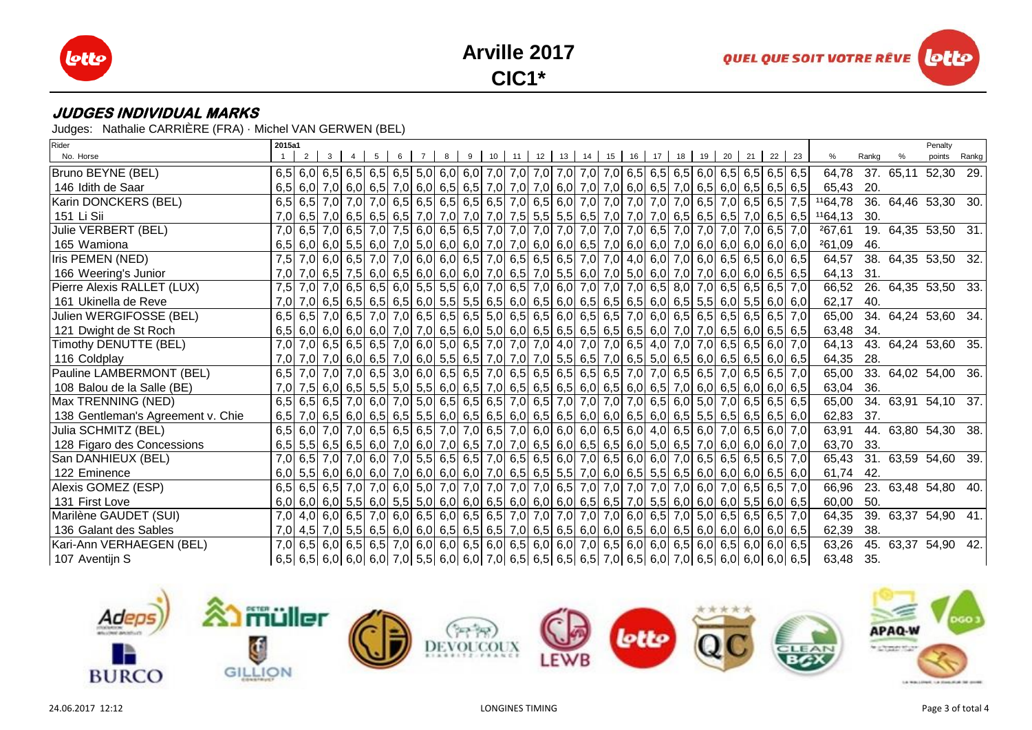





Judges: Nathalie CARRIÈRE (FRA) · Michel VAN GERWEN (BEL)

| Rider                             | 2015a1 |   |  |   |   |                |   |  |  |  |  |  |                                             |  |                                                                                                                                                 |                                                                                                                |       | Penalty             |  |
|-----------------------------------|--------|---|--|---|---|----------------|---|--|--|--|--|--|---------------------------------------------|--|-------------------------------------------------------------------------------------------------------------------------------------------------|----------------------------------------------------------------------------------------------------------------|-------|---------------------|--|
| No. Horse                         |        | 2 |  | 5 | 6 | $\overline{7}$ | 8 |  |  |  |  |  | 9 10 11 12 13 14 15 16 17 18 19 20 21 22 23 |  |                                                                                                                                                 | %                                                                                                              | Rankg | points Rankg        |  |
| Bruno BEYNE (BEL)                 |        |   |  |   |   |                |   |  |  |  |  |  |                                             |  |                                                                                                                                                 | 64,78                                                                                                          |       | 37. 65,11 52,30 29. |  |
| 146 Idith de Saar                 |        |   |  |   |   |                |   |  |  |  |  |  |                                             |  |                                                                                                                                                 | 65,43                                                                                                          | -20.  |                     |  |
| Karin DONCKERS (BEL)              |        |   |  |   |   |                |   |  |  |  |  |  |                                             |  |                                                                                                                                                 | 6,5 6,5 7,0 7,0 7,0 6,5 6,5 6,5 6,5 6,5 6,5 6,5 6,5 7,0 6,5 6,0 7,0 7,0 7,0 7,0 7,0 6,5 7,0 6,5 6,5 7,5 164,78 |       | 36. 64,46 53,30 30. |  |
| 151 Li Sii                        |        |   |  |   |   |                |   |  |  |  |  |  |                                             |  | 7,0 6,5 7,0 6,5 6,5 6,5 6,5 7,0 7,0 7,0 7,0 7,0 7,5 5,5 6,5 7,0 7,0 7,0 7,0 6,5 6,5 6,5 7,0 6,5 6,5 6,5 6,5                                     | 1164,13                                                                                                        | 30.   |                     |  |
| Julie VERBERT (BEL)               |        |   |  |   |   |                |   |  |  |  |  |  |                                             |  | 7,0 6,5 7,0 6,5 7,0 7,0 7,5 6,0 6,5 7,0 7,0 7,0 7,0 7,0 7,0 7,0 7,0 7,0 6,5 7,0 7,0 7,0 7,0 7,0 6,5 7,0                                         | 267,61                                                                                                         |       | 19. 64,35 53,50 31. |  |
| 165 Wamiona                       |        |   |  |   |   |                |   |  |  |  |  |  |                                             |  | 6,5 6,0 6,0 6,0 6,0 6,0 7,0 5,0 6,0 6,0 7,0 7,0 6,0 6,0 6,0 6,5 7,0 6,0 6,0 7,0 6,0 6,0 6,0 6,0 6,0 6,0 6,0                                     | 261,09                                                                                                         | 46.   |                     |  |
| Iris PEMEN (NED)                  |        |   |  |   |   |                |   |  |  |  |  |  |                                             |  | 7,5 7,0 6,0 6,5 7,0 7,0 7,0 7,0 6,0 6,0 6,5 7,0 6,5 6,5 6,5 7,0 7,0 4,0 6,0 7,0 6,0 6,5 6,5 6,5 6,0 6,5                                         | 64,57                                                                                                          |       | 38. 64,35 53,50 32. |  |
| 166 Weering's Junior              |        |   |  |   |   |                |   |  |  |  |  |  |                                             |  | 7,0 7,0 6,5 7,5 6,0 6,5 6,0 6,0 6,0 6,0 7,0 6,5 7,0 5,5 6,0 7,0 5,0 6,0 7,0 7,0 6,0 6,0 6,0 6,5 6,5                                             | 64,13                                                                                                          | 31.   |                     |  |
| Pierre Alexis RALLET (LUX)        |        |   |  |   |   |                |   |  |  |  |  |  |                                             |  | 7,5 7,0 7,0 6,5 6,5 6,5 6,6 7,0 6,5 6,6 7,0 6,5 7,0 6,0 7,0 7,0 7,0 7,0 6,5 8,0 7,0 6,5 6,5 6,5 6,5 7,0                                         | 66,52                                                                                                          |       | 26. 64,35 53,50 33. |  |
| 161 Ukinella de Reve              |        |   |  |   |   |                |   |  |  |  |  |  |                                             |  | 7,0 7,0 6,5 6,5 6,5 6,5 6,5 6,6 6,5 6,0 5,5 6,5 6,6 6,0 6,5 6,0 6,5 6,5 6,5 6,6 6,6 6,5 5,5 6,0 5,5 6,0 6,0 6,0                                 | 62,17                                                                                                          | 40.   |                     |  |
| Julien WERGIFOSSE (BEL)           |        |   |  |   |   |                |   |  |  |  |  |  |                                             |  | 6,5 6,5 7,0 6,5 7,0 7,0 7,0 6,5 6,5 6,5 6,5 6,6 6,5 6,6 6,6 6,6 6,5 7,0 6,0 6,5 6,5 6,5 6,5 6,5 6,5 6,5 7,0                                     | 65,00                                                                                                          |       | 34. 64,24 53,60 34. |  |
| 121 Dwight de St Roch             |        |   |  |   |   |                |   |  |  |  |  |  |                                             |  | $6,5$ 6,0 6,0 6,0 6,0 7,0 7,0 7,0 6,5 6,0 5,0 6,0 6,0 6,5 6,5 6,5 6,5 6,5 6,6 7,0 7,0 6,5 6,0 6,5 6,5 6,5                                       | 63,48                                                                                                          | 34.   |                     |  |
| Timothy DENUTTE (BEL)             |        |   |  |   |   |                |   |  |  |  |  |  |                                             |  | 7,0 7,0 6,5 6,5 6,6 6,6 7,0 6,0 5,0 6,5 7,0 7,0 7,0 4,0 7,0 7,0 6,5 4,0 7,0 7,0 6,5 6,5 6,5 6,0 7,0                                             | 64,13                                                                                                          |       | 43. 64,24 53,60 35. |  |
| 116 Coldplay                      |        |   |  |   |   |                |   |  |  |  |  |  |                                             |  | 7,0 7,0 7,0 6,0 6,5 7,0 6,0 6,5 7,0 6,6 7,0 7,0 7,0 5,5 6,5 7,0 6,5 7,0 6,5 6,0 6,5 6,0 6,5 6,0 6,5 6,0 6,5                                     | 64,35                                                                                                          | 28.   |                     |  |
| Pauline LAMBERMONT (BEL)          |        |   |  |   |   |                |   |  |  |  |  |  |                                             |  | 6,5 7,0 7,0 7,0 6,5 3,0 6,0 6,5 6,5 7,0 6,5 6,5 6,5 6,5 6,5 6,5 7,0 7,0 6,5 6,5 7,0 6,5 6,5 7,0 6,5 6,5 7,0                                     | 65,00                                                                                                          |       | 33. 64,02 54,00 36. |  |
| 108 Balou de la Salle (BE)        |        |   |  |   |   |                |   |  |  |  |  |  |                                             |  | 7,0 7,5 6,0 6,5 5,6 5,6 5,6 6,0 6,5 6,0 6,5 7,0 6,5 6,5 6,5 6,0 6,5 6,0 6,5 7,0 6,0 6,5 6,0 6,0 6,0 6,0                                         | 63,04                                                                                                          | 36.   |                     |  |
| Max TRENNING (NED)                |        |   |  |   |   |                |   |  |  |  |  |  |                                             |  | 6,5 6,5 6,5 7,0 6,0 7,0 6,0 7,0 6,5 6,6 6,5 6,5 7,0 6,5 7,0 7,0 7,0 7,0 7,0 6,5 6,0 5,0 7,0 6,5 6,5 6,5 6,5                                     | 65,00                                                                                                          |       | 34. 63,91 54,10 37. |  |
| 138 Gentleman's Agreement v. Chie |        |   |  |   |   |                |   |  |  |  |  |  |                                             |  | $6,5$ $7,0$ $6,5$ $6,0$ $6,5$ $6,5$ $6,5$ $6,0$ $6,5$ $6,0$ $6,5$ $6,0$ $6,5$ $6,0$ $6,5$ $6,0$ $6,5$ $6,0$ $6,5$ $6,5$ $6,6$ $6,5$ $6,6$ $6,6$ | 62,83                                                                                                          | 37.   |                     |  |
| Julia SCHMITZ (BEL)               |        |   |  |   |   |                |   |  |  |  |  |  |                                             |  | 6,5 6,0 7,0 7,0 6,5 6,6 6,5 6,5 7,0 7,0 6,5 7,0 6,0 6,0 6,0 6,0 6,5 6,0 4,0 6,5 6,0 7,0 6,5 6,0 7,0                                             | 63,91                                                                                                          |       | 44. 63,80 54,30 38. |  |
| 128 Figaro des Concessions        |        |   |  |   |   |                |   |  |  |  |  |  |                                             |  | $6,5$ 5,5 6,5 6,5 6,6 7,0 6,0 7,0 6,0 7,0 6,5 7,0 7,0 6,5 6,0 6,5 6,0 5,0 5,0 6,5 7,0 6,0 6,0 6,0 6,0 7,0                                       | 63,70                                                                                                          | 33.   |                     |  |
| San DANHIEUX (BEL)                |        |   |  |   |   |                |   |  |  |  |  |  |                                             |  | 7,0 6,5 7,0 7,0 6,5 6,5 6,5 7,0 6,5 6,5 6,5 7,0 6,5 6,6 7,0 6,5 6,0 7,0 6,5 6,0 6,0 7,0 6,5 6,5 6,5 6,5 6,5 7,0                                 | 65,43                                                                                                          |       | 31. 63,59 54,60 39. |  |
| 122 Eminence                      |        |   |  |   |   |                |   |  |  |  |  |  |                                             |  | 6,0 6,0 6,0 6,0 6,0 6,0 7,0 6,0 6,0 6,0 7,0 6,5 6,5 7,0 6,0 6,0 6,5 6,5 7,0 6,0 6,6 6,6 6,6 6,0 6,0 6,6 6,6 6,0                                 | 61,74                                                                                                          | 42.   |                     |  |
| Alexis GOMEZ (ESP)                |        |   |  |   |   |                |   |  |  |  |  |  |                                             |  | 6,5 6,5 6,5 7,0 7,0 6,5 7,0 6,0 5,0 7,0 7,0 7,0 7,0 7,0 7,0 6,5 7,0 7,0 7,0 7,0 7,0 7,0 6,0 7,0 6,5 6,5 7,0                                     | 66,96                                                                                                          |       | 23. 63,48 54,80 40. |  |
| 131 First Love                    |        |   |  |   |   |                |   |  |  |  |  |  |                                             |  | $6,0$ 6,0 6,0 5,5 6,0 5,5 6,0 6,0 6,0 6,0 6,5 6,0 6,0 6,0 6,0 6,5 7,0 5,5 6,0 6,0 6,0 5,5 6,0 6,0 6,0                                           | 60,00                                                                                                          | 50.   |                     |  |
| Marilène GAUDET (SUI)             |        |   |  |   |   |                |   |  |  |  |  |  |                                             |  | 7,0 4,0 6,0 6,5 7,0 6,0 6,5 7,0 6,0 6,5 6,0 6,5 6,5 7,0 7,0 7,0 7,0 7,0 6,0 6,5 7,0 5,0 6,5 6,5 6,5 6,5 7,0                                     | 64,35                                                                                                          |       | 39. 63,37 54,90 41. |  |
| 136 Galant des Sables             |        |   |  |   |   |                |   |  |  |  |  |  |                                             |  | $7,0$ 4,5 $7,0$ 5,5 $6,5$ 6,5 $6,0$ 6,0 $6,5$ 6,5 $6,5$ 6,5 $7,0$ 6,5 $6,5$ 6,5 $6,0$ 6,0 $6,5$ 6,0 $6,0$ 6,0 $6,0$ 6,0 $6,0$ 6,0 $6,0$         | 62,39                                                                                                          | 38.   |                     |  |
| Kari-Ann VERHAEGEN (BEL)          |        |   |  |   |   |                |   |  |  |  |  |  |                                             |  | 7,0 6,5 6,0 6,5 6,0 6,5 7,0 6,0 6,0 6,5 6,0 6,5 6,0 6,0 7,0 6,5 6,0 6,0 6,7 6 6,0 6,5 6,0 6,5 6,0 6,0 6,0 6,5                                   | 63,26                                                                                                          |       | 45. 63,37 54,90 42. |  |
| 107 Aventijn S                    |        |   |  |   |   |                |   |  |  |  |  |  |                                             |  | 6,5 6,5 6,0 6,0 6,0 6,0 7,0 5,5 6,0 6,0 7,0 6,5 6,5 6,5 6,5 7,0 6,5 6,0 7,0 6,5 6,0 6,0 6,0 6,0 6,0 6,5                                         | 63,48 35.                                                                                                      |       |                     |  |